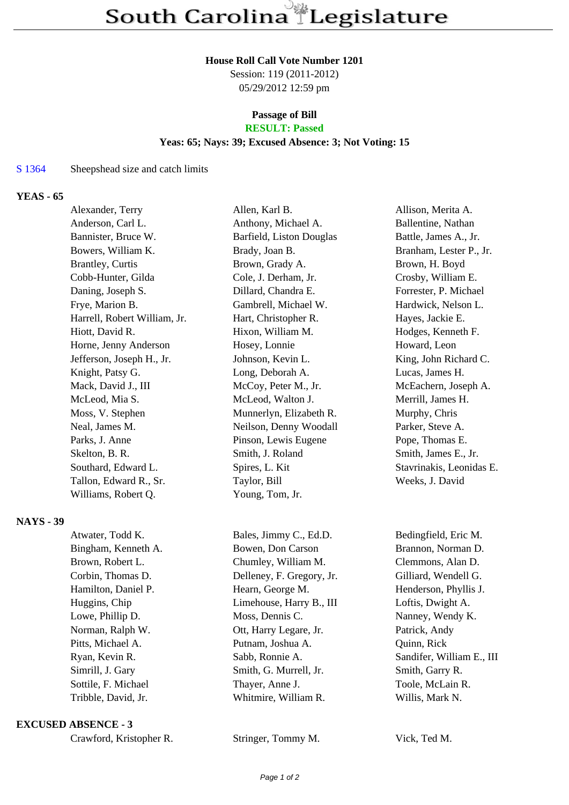#### **House Roll Call Vote Number 1201**

Session: 119 (2011-2012) 05/29/2012 12:59 pm

# **Passage of Bill**

# **RESULT: Passed**

## **Yeas: 65; Nays: 39; Excused Absence: 3; Not Voting: 15**

#### S 1364 Sheepshead size and catch limits

## **YEAS - 65**

| Alexander, Terry             | Allen, Karl B.           | Allison, Merita A.       |
|------------------------------|--------------------------|--------------------------|
| Anderson, Carl L.            | Anthony, Michael A.      | Ballentine, Nathan       |
| Bannister, Bruce W.          | Barfield, Liston Douglas | Battle, James A., Jr.    |
| Bowers, William K.           | Brady, Joan B.           | Branham, Lester P., Jr.  |
| <b>Brantley, Curtis</b>      | Brown, Grady A.          | Brown, H. Boyd           |
| Cobb-Hunter, Gilda           | Cole, J. Derham, Jr.     | Crosby, William E.       |
| Daning, Joseph S.            | Dillard, Chandra E.      | Forrester, P. Michael    |
| Frye, Marion B.              | Gambrell, Michael W.     | Hardwick, Nelson L.      |
| Harrell, Robert William, Jr. | Hart, Christopher R.     | Hayes, Jackie E.         |
| Hiott, David R.              | Hixon, William M.        | Hodges, Kenneth F.       |
| Horne, Jenny Anderson        | Hosey, Lonnie            | Howard, Leon             |
| Jefferson, Joseph H., Jr.    | Johnson, Kevin L.        | King, John Richard C.    |
| Knight, Patsy G.             | Long, Deborah A.         | Lucas, James H.          |
| Mack, David J., III          | McCoy, Peter M., Jr.     | McEachern, Joseph A.     |
| McLeod, Mia S.               | McLeod, Walton J.        | Merrill, James H.        |
| Moss, V. Stephen             | Munnerlyn, Elizabeth R.  | Murphy, Chris            |
| Neal, James M.               | Neilson, Denny Woodall   | Parker, Steve A.         |
| Parks, J. Anne               | Pinson, Lewis Eugene     | Pope, Thomas E.          |
| Skelton, B. R.               | Smith, J. Roland         | Smith, James E., Jr.     |
| Southard, Edward L.          | Spires, L. Kit           | Stavrinakis, Leonidas E. |
| Tallon, Edward R., Sr.       | Taylor, Bill             | Weeks, J. David          |
| Williams, Robert Q.          | Young, Tom, Jr.          |                          |
|                              |                          |                          |
|                              |                          |                          |

## **NAYS - 39**

| Atwater, Todd K.    | Bales, Jimmy C., Ed.D.    | Bedingfield, Eric M.      |
|---------------------|---------------------------|---------------------------|
| Bingham, Kenneth A. | Bowen, Don Carson         | Brannon, Norman D.        |
| Brown, Robert L.    | Chumley, William M.       | Clemmons, Alan D.         |
| Corbin, Thomas D.   | Delleney, F. Gregory, Jr. | Gilliard, Wendell G.      |
| Hamilton, Daniel P. | Hearn, George M.          | Henderson, Phyllis J.     |
| Huggins, Chip       | Limehouse, Harry B., III  | Loftis, Dwight A.         |
| Lowe, Phillip D.    | Moss, Dennis C.           | Nanney, Wendy K.          |
| Norman, Ralph W.    | Ott, Harry Legare, Jr.    | Patrick, Andy             |
| Pitts, Michael A.   | Putnam, Joshua A.         | Quinn, Rick               |
| Ryan, Kevin R.      | Sabb, Ronnie A.           | Sandifer, William E., III |
| Simrill, J. Gary    | Smith, G. Murrell, Jr.    | Smith, Garry R.           |
| Sottile, F. Michael | Thayer, Anne J.           | Toole, McLain R.          |
| Tribble, David, Jr. | Whitmire, William R.      | Willis, Mark N.           |
|                     |                           |                           |

#### **EXCUSED ABSENCE - 3**

Stringer, Tommy M. Vick, Ted M.